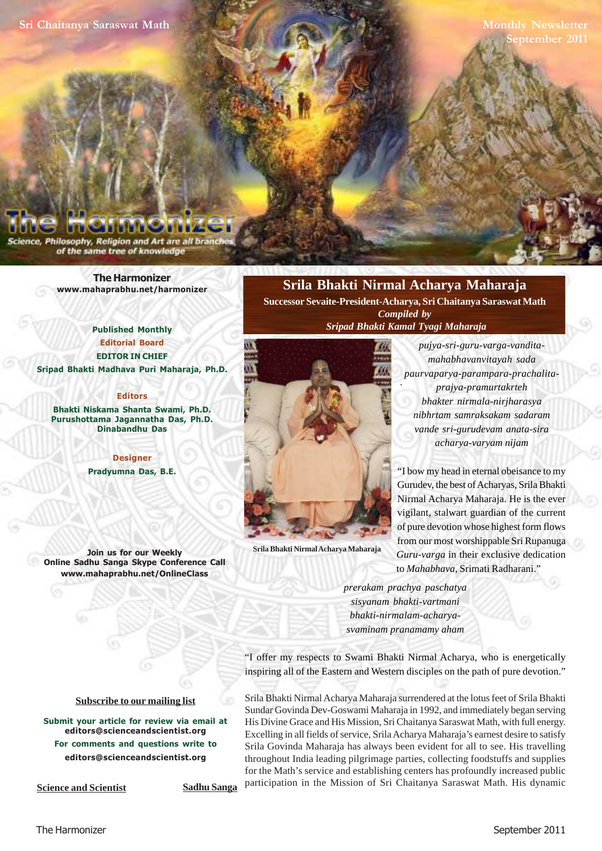**Sri Chaitanya Saraswat Math**

**Monthly Newsletter September 2011**

Philosophy, Religion and Art are all brand of the same tree of knowledge

> **The Harmonizer www.mahaprabhu.net/harmonizer**

# **Published Monthly Editorial Board EDITOR IN CHIEF Sripad Bhakti Madhava Puri Maharaja, Ph.D.**

# **Editors**

**Bhakti Niskama Shanta Swami, Ph.D. Purushottama Jagannatha Das, Ph.D. Dinabandhu Das**

> **Designer Pradyumna Das, B.E.**

**Join us for our Weekly Online Sadhu Sanga Skype Conference Call www.mahaprabhu.net/OnlineClass**

> www.mahaprabhu.net/harmonizer www.mahaprabhu.net/harmonizer www.mahaprabhu.net/harmonizer

# **Srila Bhakti Nirmal Acharya Maharaja**

**Successor Sevaite-President-Acharya, Sri Chaitanya Saraswat Math** *Compiled by Sripad Bhakti Kamal Tyagi Maharaja*



**Srila Bhakti Nirmal Acharya Maharaja**

 . *pujya-sri-guru-varga-vanditamahabhavanvitayah sada paurvaparya-parampara-prachalitaprajya-pramurtakrteh bhakter nirmala-nirjharasya nibhrtam samraksakam sadaram vande sri-gurudevam anata-sira acharya-varyam nijam*

"I bow my head in eternal obeisance to my Gurudev, the best of Acharyas, Srila Bhakti Nirmal Acharya Maharaja. He is the ever vigilant, stalwart guardian of the current of pure devotion whose highest form flows from our most worshippable Sri Rupanuga *Guru-varga* in their exclusive dedication to *Mahabhava*, Srimati Radharani."

*prerakam prachya paschatya sisyanam bhakti-vartmani bhakti-nirmalam-acharyasvaminam pranamamy aham*

"I offer my respects to Swami Bhakti Nirmal Acharya, who is energetically inspiring all of the Eastern and Western disciples on the path of pure devotion."

Srila Bhakti Nirmal Acharya Maharaja surrendered at the lotus feet of Srila Bhakti Sundar Govinda Dev-Goswami Maharaja in 1992, and immediately began serving His Divine Grace and His Mission, Sri Chaitanya Saraswat Math, with full energy. Excelling in all fields of service, Srila Acharya Maharaja's earnest desire to satisfy Srila Govinda Maharaja has always been evident for all to see. His travelling throughout India leading pilgrimage parties, collecting foodstuffs and supplies for the Math's service and establishing centers has profoundly increased public participation in the Mission of Sri Chaitanya Saraswat Math. His dynamic

#### **<u>Subscribe to our mailing list</u>**

**Submit your article for review via email at editors@scienceandscientist.org For comments and questions write to editors@scienceandscientist.org**

**Science and Scientist Sadhu Sanga**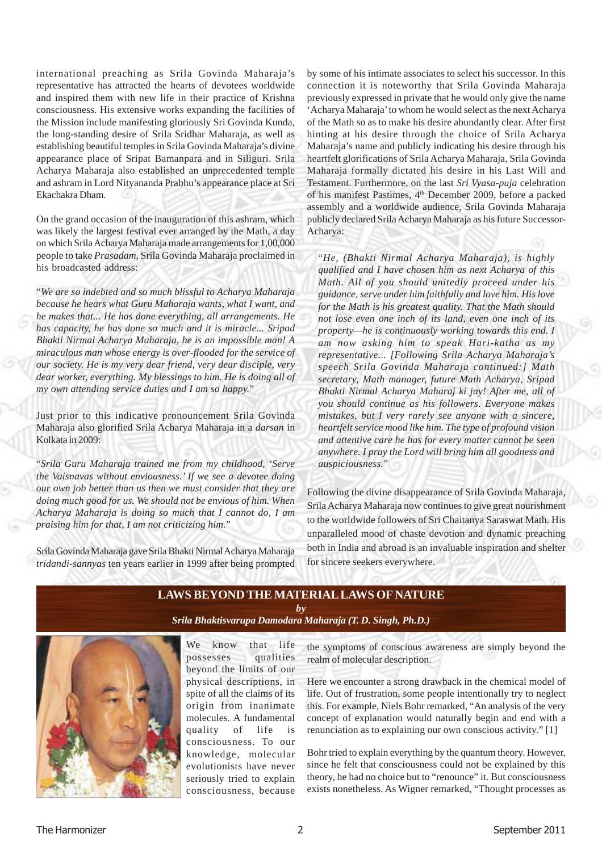international preaching as Srila Govinda Maharaja's representative has attracted the hearts of devotees worldwide and inspired them with new life in their practice of Krishna consciousness. His extensive works expanding the facilities of the Mission include manifesting gloriously Sri Govinda Kunda, the long-standing desire of Srila Sridhar Maharaja, as well as establishing beautiful temples in Srila Govinda Maharaja's divine appearance place of Sripat Bamanpara and in Siliguri. Srila Acharya Maharaja also established an unprecedented temple and ashram in Lord Nityananda Prabhu's appearance place at Sri Ekachakra Dham.

On the grand occasion of the inauguration of this ashram, which was likely the largest festival ever arranged by the Math, a day on which Srila Acharya Maharaja made arrangements for 1,00,000 people to take *Prasadam,* Srila Govinda Maharaja proclaimed in his broadcasted address:

"*We are so indebted and so much blissful to Acharya Maharaja because he hears what Guru Maharaja wants, what I want, and he makes that... He has done everything, all arrangements. He has capacity, he has done so much and it is miracle... Sripad Bhakti Nirmal Acharya Maharaja, he is an impossible man! A miraculous man whose energy is over-flooded for the service of our society. He is my very dear friend, very dear disciple, very dear worker, everything. My blessings to him. He is doing all of my own attending service duties and I am so happy.*"

Just prior to this indicative pronouncement Srila Govinda Maharaja also glorified Srila Acharya Maharaja in a *darsan* in Kolkata in 2009:

"*Srila Guru Maharaja trained me from my childhood, 'Serve the Vaisnavas without enviousness.' If we see a devotee doing our own job better than us then we must consider that they are doing much good for us. We should not be envious of him. When Acharya Maharaja is doing so much that I cannot do, I am praising him for that, I am not criticizing him.*"

Srila Govinda Maharaja gave Srila Bhakti Nirmal Acharya Maharaja *tridandi-sannyas* ten years earlier in 1999 after being prompted by some of his intimate associates to select his successor. In this connection it is noteworthy that Srila Govinda Maharaja previously expressed in private that he would only give the name 'Acharya Maharaja' to whom he would select as the next Acharya of the Math so as to make his desire abundantly clear. After first hinting at his desire through the choice of Srila Acharya Maharaja's name and publicly indicating his desire through his heartfelt glorifications of Srila Acharya Maharaja, Srila Govinda Maharaja formally dictated his desire in his Last Will and Testament. Furthermore, on the last *Sri Vyasa-puja* celebration of his manifest Pastimes, 4<sup>th</sup> December 2009, before a packed assembly and a worldwide audience, Srila Govinda Maharaja publicly declared Srila Acharya Maharaja as his future Successor-Acharya:

"*He, (Bhakti Nirmal Acharya Maharaja), is highly qualified and I have chosen him as next Acharya of this Math. All of you should unitedly proceed under his guidance, serve under him faithfully and love him. His love for the Math is his greatest quality. That the Math should not lose even one inch of its land, even one inch of its property—he is continuously working towards this end. I am now asking him to speak Hari-katha as my representative... [Following Srila Acharya Maharaja's speech Srila Govinda Maharaja continued:] Math secretary, Math manager, future Math Acharya, Sripad Bhakti Nirmal Acharya Maharaj ki jay! After me, all of you should continue as his followers. Everyone makes mistakes, but I very rarely see anyone with a sincere, heartfelt service mood like him. The type of profound vision and attentive care he has for every matter cannot be seen anywhere. I pray the Lord will bring him all goodness and auspiciousness.*"

Following the divine disappearance of Srila Govinda Maharaja, Srila Acharya Maharaja now continues to give great nourishment to the worldwide followers of Sri Chaitanya Saraswat Math. His unparalleled mood of chaste devotion and dynamic preaching both in India and abroad is an invaluable inspiration and shelter for sincere seekers everywhere.



We know that life possesses qualities beyond the limits of our physical descriptions, in spite of all the claims of its origin from inanimate molecules. A fundamental quality of life is consciousness. To our knowledge, molecular evolutionists have never seriously tried to explain consciousness, because

the symptoms of conscious awareness are simply beyond the realm of molecular description.

Here we encounter a strong drawback in the chemical model of life. Out of frustration, some people intentionally try to neglect this. For example, Niels Bohr remarked, "An analysis of the very concept of explanation would naturally begin and end with a renunciation as to explaining our own conscious activity." [1]

Bohr tried to explain everything by the quantum theory. However, since he felt that consciousness could not be explained by this theory, he had no choice but to "renounce" it. But consciousness exists nonetheless. As Wigner remarked, "Thought processes as

**LAWS BEYOND THE MATERIAL LAWS OF NATURE** *by Srila Bhaktisvarupa Damodara Maharaja (T. D. Singh, Ph.D.)*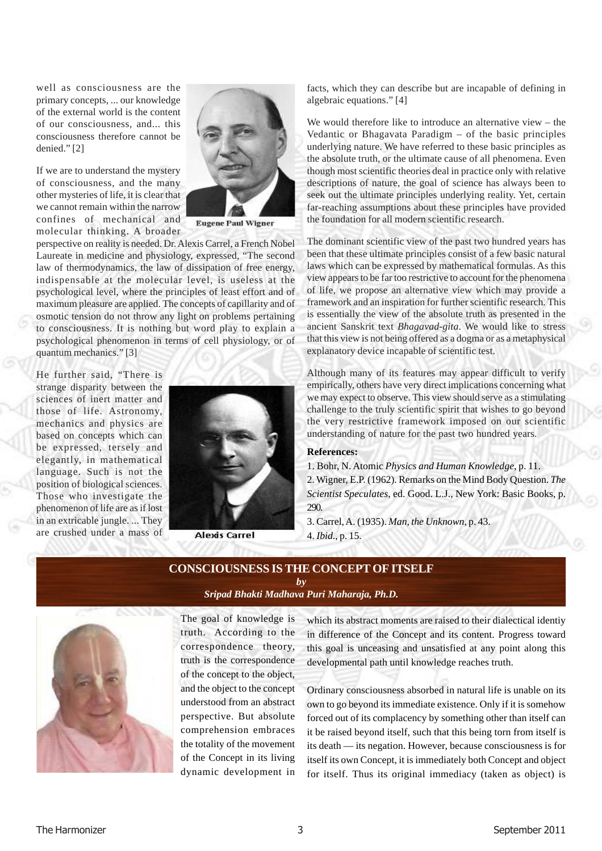well as consciousness are the primary concepts, ... our knowledge of the external world is the content of our consciousness, and... this consciousness therefore cannot be denied." [2]

If we are to understand the mystery of consciousness, and the many other mysteries of life, it is clear that we cannot remain within the narrow confines of mechanical and molecular thinking. A broader



**Eugene Paul Wigner** 

perspective on reality is needed. Dr. Alexis Carrel, a French Nobel Laureate in medicine and physiology, expressed, "The second law of thermodynamics, the law of dissipation of free energy, indispensable at the molecular level, is useless at the psychological level, where the principles of least effort and of maximum pleasure are applied. The concepts of capillarity and of osmotic tension do not throw any light on problems pertaining to consciousness. It is nothing but word play to explain a psychological phenomenon in terms of cell physiology, or of quantum mechanics." [3]

He further said, "There is strange disparity between the sciences of inert matter and those of life. Astronomy, mechanics and physics are based on concepts which can be expressed, tersely and elegantly, in mathematical language. Such is not the position of biological sciences. Those who investigate the phenomenon of life are as if lost in an extricable jungle. ... They are crushed under a mass of



**Alexis Carrel** 

facts, which they can describe but are incapable of defining in algebraic equations." [4]

We would therefore like to introduce an alternative view – the Vedantic or Bhagavata Paradigm – of the basic principles underlying nature. We have referred to these basic principles as the absolute truth, or the ultimate cause of all phenomena. Even though most scientific theories deal in practice only with relative descriptions of nature, the goal of science has always been to seek out the ultimate principles underlying reality. Yet, certain far-reaching assumptions about these principles have provided the foundation for all modern scientific research.

The dominant scientific view of the past two hundred years has been that these ultimate principles consist of a few basic natural laws which can be expressed by mathematical formulas. As this view appears to be far too restrictive to account for the phenomena of life, we propose an alternative view which may provide a framework and an inspiration for further scientific research. This is essentially the view of the absolute truth as presented in the ancient Sanskrit text *Bhagavad-gita*. We would like to stress that this view is not being offered as a dogma or as a metaphysical explanatory device incapable of scientific test.

Although many of its features may appear difficult to verify empirically, others have very direct implications concerning what we may expect to observe. This view should serve as a stimulating challenge to the truly scientific spirit that wishes to go beyond the very restrictive framework imposed on our scientific understanding of nature for the past two hundred years.

#### **References:**

1. Bohr, N. Atomic *Physics and Human Knowledge*, p. 11. 2. Wigner, E.P. (1962). Remarks on the Mind Body Question. *The Scientist Speculates*, ed. Good. L.J., New York: Basic Books, p. 290.

3. Carrel, A. (1935). *Man, the Unknown*, p. 43. 4. *Ibid*., p. 15.

## **CONSCIOUSNESS IS THE CONCEPT OF ITSELF** *by Sripad Bhakti Madhava Puri Maharaja, Ph.D.*



The goal of knowledge is truth. According to the correspondence theory, truth is the correspondence of the concept to the object, and the object to the concept understood from an abstract perspective. But absolute comprehension embraces the totality of the movement of the Concept in its living dynamic development in

which its abstract moments are raised to their dialectical identiy in difference of the Concept and its content. Progress toward this goal is unceasing and unsatisfied at any point along this developmental path until knowledge reaches truth.

Ordinary consciousness absorbed in natural life is unable on its own to go beyond its immediate existence. Only if it is somehow forced out of its complacency by something other than itself can it be raised beyond itself, such that this being torn from itself is its death — its negation. However, because consciousness is for itself its own Concept, it is immediately both Concept and object for itself. Thus its original immediacy (taken as object) is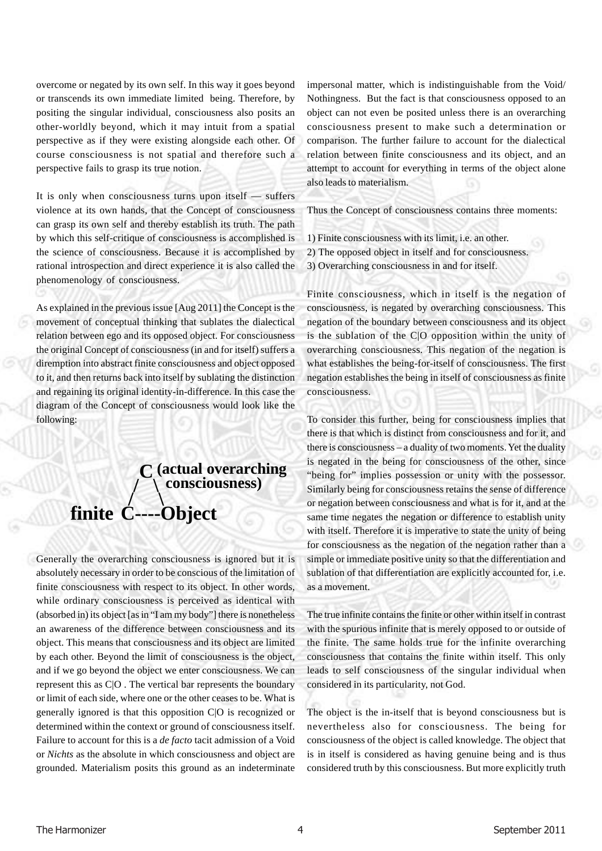overcome or negated by its own self. In this way it goes beyond or transcends its own immediate limited being. Therefore, by positing the singular individual, consciousness also posits an other-worldly beyond, which it may intuit from a spatial perspective as if they were existing alongside each other. Of course consciousness is not spatial and therefore such a perspective fails to grasp its true notion.

It is only when consciousness turns upon itself — suffers violence at its own hands, that the Concept of consciousness can grasp its own self and thereby establish its truth. The path by which this self-critique of consciousness is accomplished is the science of consciousness. Because it is accomplished by rational introspection and direct experience it is also called the phenomenology of consciousness.

As explained in the previous issue [Aug 2011] the Concept is the movement of conceptual thinking that sublates the dialectical relation between ego and its opposed object. For consciousness the original Concept of consciousness (in and for itself) suffers a diremption into abstract finite consciousness and object opposed to it, and then returns back into itself by sublating the distinction and regaining its original identity-in-difference. In this case the diagram of the Concept of consciousness would look like the following:

# **(actual overarching consciousness) <sup>C</sup>**  $\bigwedge$  **/ \ finite C----Object**

Generally the overarching consciousness is ignored but it is absolutely necessary in order to be conscious of the limitation of finite consciousness with respect to its object. In other words, while ordinary consciousness is perceived as identical with (absorbed in) its object [as in "I am my body"] there is nonetheless an awareness of the difference between consciousness and its object. This means that consciousness and its object are limited by each other. Beyond the limit of consciousness is the object, and if we go beyond the object we enter consciousness. We can represent this as C|O . The vertical bar represents the boundary or limit of each side, where one or the other ceases to be. What is generally ignored is that this opposition C|O is recognized or determined within the context or ground of consciousness itself. Failure to account for this is a *de facto* tacit admission of a Void or *Nichts* as the absolute in which consciousness and object are grounded. Materialism posits this ground as an indeterminate

impersonal matter, which is indistinguishable from the Void/ Nothingness. But the fact is that consciousness opposed to an object can not even be posited unless there is an overarching consciousness present to make such a determination or comparison. The further failure to account for the dialectical relation between finite consciousness and its object, and an attempt to account for everything in terms of the object alone also leads to materialism.

Thus the Concept of consciousness contains three moments:

1) Finite consciousness with its limit, i.e. an other. 2) The opposed object in itself and for consciousness. 3) Overarching consciousness in and for itself.

Finite consciousness, which in itself is the negation of consciousness, is negated by overarching consciousness. This negation of the boundary between consciousness and its object is the sublation of the C|O opposition within the unity of overarching consciousness. This negation of the negation is what establishes the being-for-itself of consciousness. The first negation establishes the being in itself of consciousness as finite consciousness.

To consider this further, being for consciousness implies that there is that which is distinct from consciousness and for it, and there is consciousness – a duality of two moments. Yet the duality is negated in the being for consciousness of the other, since "being for" implies possession or unity with the possessor. Similarly being for consciousness retains the sense of difference or negation between consciousness and what is for it, and at the same time negates the negation or difference to establish unity with itself. Therefore it is imperative to state the unity of being for consciousness as the negation of the negation rather than a simple or immediate positive unity so that the differentiation and sublation of that differentiation are explicitly accounted for, i.e. as a movement.

The true infinite contains the finite or other within itself in contrast with the spurious infinite that is merely opposed to or outside of the finite. The same holds true for the infinite overarching consciousness that contains the finite within itself. This only leads to self consciousness of the singular individual when considered in its particularity, not God.

The object is the in-itself that is beyond consciousness but is nevertheless also for consciousness. The being for consciousness of the object is called knowledge. The object that is in itself is considered as having genuine being and is thus considered truth by this consciousness. But more explicitly truth